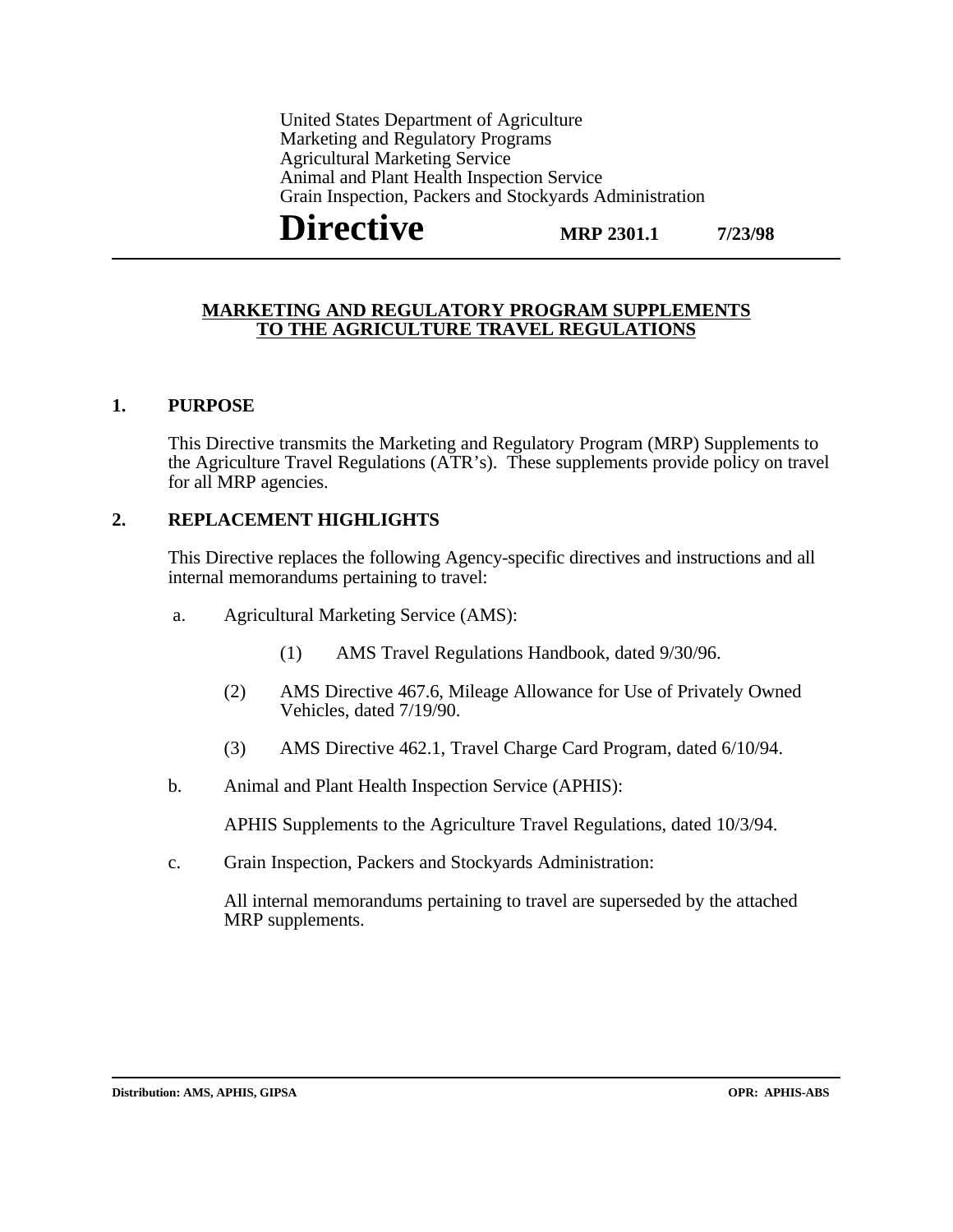United States Department of Agriculture Marketing and Regulatory Programs Agricultural Marketing Service Animal and Plant Health Inspection Service Grain Inspection, Packers and Stockyards Administration

**MRP 2301.1 Directive** MRP 2301.1 7/23/98

#### **MARKETING AND REGULATORY PROGRAM SUPPLEMENTS TO THE AGRICULTURE TRAVEL REGULATIONS**

#### **1. PURPOSE**

This Directive transmits the Marketing and Regulatory Program (MRP) Supplements to the Agriculture Travel Regulations (ATR's). These supplements provide policy on travel for all MRP agencies.

#### **2. REPLACEMENT HIGHLIGHTS**

This Directive replaces the following Agency-specific directives and instructions and all internal memorandums pertaining to travel:

- a. Agricultural Marketing Service (AMS):
	- (1) AMS Travel Regulations Handbook, dated 9/30/96.
	- (2) AMS Directive 467.6, Mileage Allowance for Use of Privately Owned Vehicles, dated 7/19/90.
	- (3) AMS Directive 462.1, Travel Charge Card Program, dated 6/10/94.
- b. Animal and Plant Health Inspection Service (APHIS):

APHIS Supplements to the Agriculture Travel Regulations, dated 10/3/94.

c. Grain Inspection, Packers and Stockyards Administration:

All internal memorandums pertaining to travel are superseded by the attached MRP supplements.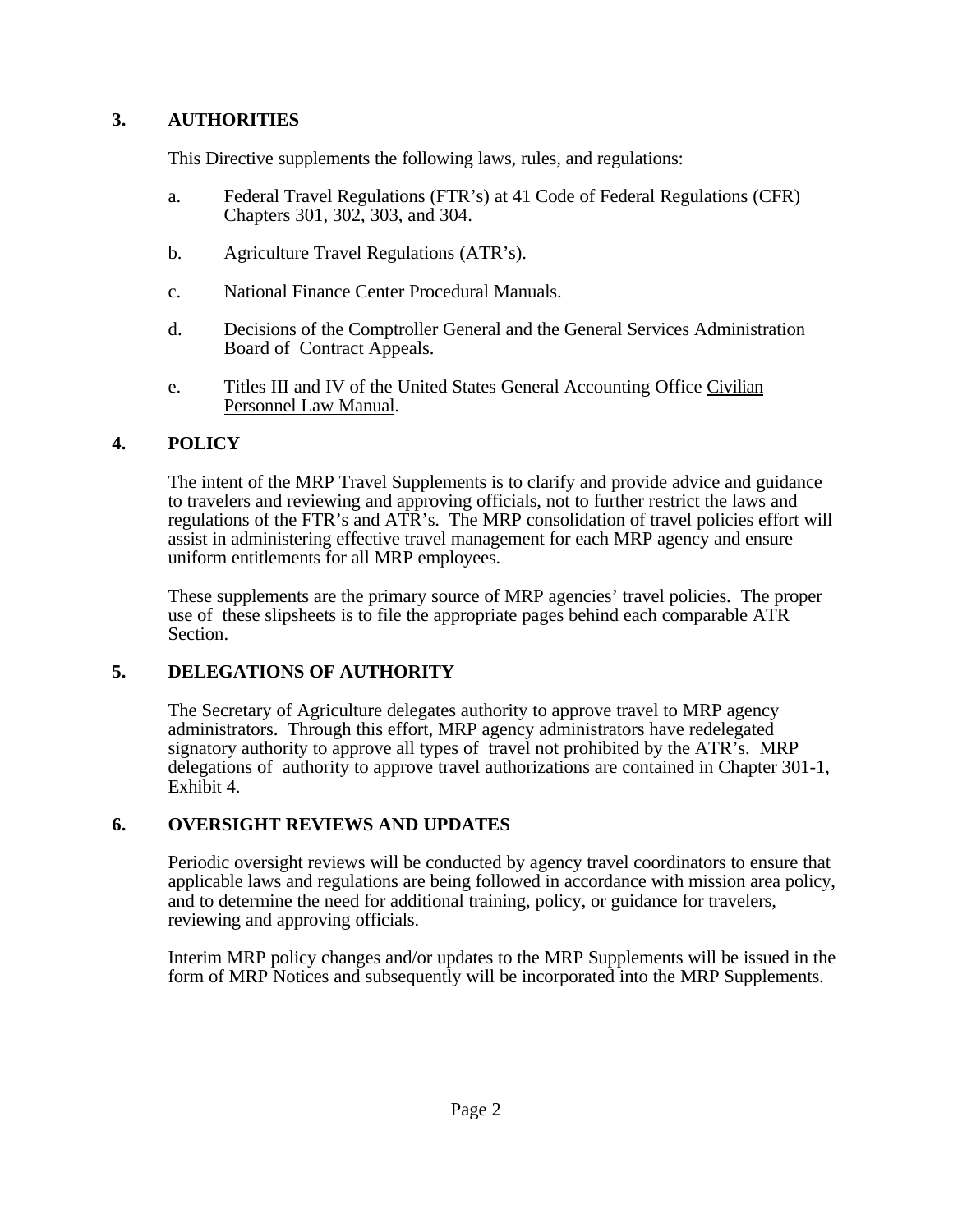# **3. AUTHORITIES**

This Directive supplements the following laws, rules, and regulations:

- a. Federal Travel Regulations (FTR's) at 41 Code of Federal Regulations (CFR) Chapters 301, 302, 303, and 304.
- b. Agriculture Travel Regulations (ATR's).
- c. National Finance Center Procedural Manuals.
- d. Decisions of the Comptroller General and the General Services Administration Board of Contract Appeals.
- e. Titles III and IV of the United States General Accounting Office Civilian Personnel Law Manual.

## **4. POLICY**

The intent of the MRP Travel Supplements is to clarify and provide advice and guidance to travelers and reviewing and approving officials, not to further restrict the laws and regulations of the FTR's and ATR's. The MRP consolidation of travel policies effort will assist in administering effective travel management for each MRP agency and ensure uniform entitlements for all MRP employees.

These supplements are the primary source of MRP agencies' travel policies. The proper use of these slipsheets is to file the appropriate pages behind each comparable ATR Section.

## **5. DELEGATIONS OF AUTHORITY**

The Secretary of Agriculture delegates authority to approve travel to MRP agency administrators. Through this effort, MRP agency administrators have redelegated signatory authority to approve all types of travel not prohibited by the ATR's. MRP delegations of authority to approve travel authorizations are contained in Chapter 301-1, Exhibit 4.

## **6. OVERSIGHT REVIEWS AND UPDATES**

Periodic oversight reviews will be conducted by agency travel coordinators to ensure that applicable laws and regulations are being followed in accordance with mission area policy, and to determine the need for additional training, policy, or guidance for travelers, reviewing and approving officials.

Interim MRP policy changes and/or updates to the MRP Supplements will be issued in the form of MRP Notices and subsequently will be incorporated into the MRP Supplements.